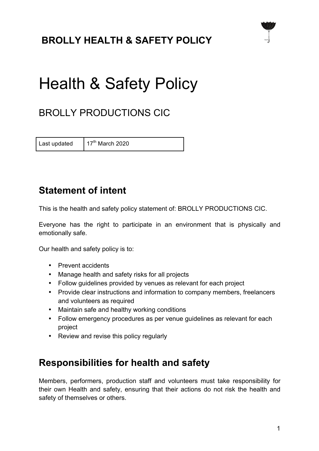# **BROLLY HEALTH & SAFETY POLICY**



# Health & Safety Policy

# BROLLY PRODUCTIONS CIC

Last updated  $17<sup>th</sup>$  March 2020

## **Statement of intent**

This is the health and safety policy statement of: BROLLY PRODUCTIONS CIC.

Everyone has the right to participate in an environment that is physically and emotionally safe.

Our health and safety policy is to:

- Prevent accidents
- Manage health and safety risks for all projects
- Follow guidelines provided by venues as relevant for each project
- Provide clear instructions and information to company members, freelancers and volunteers as required
- Maintain safe and healthy working conditions
- Follow emergency procedures as per venue guidelines as relevant for each project
- Review and revise this policy regularly

## **Responsibilities for health and safety**

Members, performers, production staff and volunteers must take responsibility for their own Health and safety, ensuring that their actions do not risk the health and safety of themselves or others.